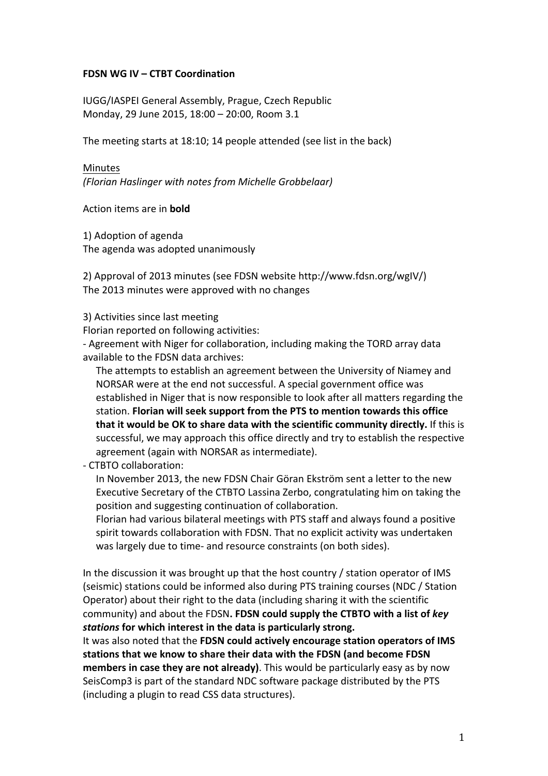# **FDSN WG IV – CTBT Coordination**

IUGG/IASPEI General Assembly, Prague, Czech Republic Monday, 29 June 2015, 18:00 - 20:00, Room 3.1

The meeting starts at 18:10; 14 people attended (see list in the back)

#### Minutes

*(Florian Haslinger with notes from Michelle Grobbelaar)*

Action items are in **bold** 

1) Adoption of agenda The agenda was adopted unanimously

2) Approval of 2013 minutes (see FDSN website http://www.fdsn.org/wgIV/) The 2013 minutes were approved with no changes

3) Activities since last meeting

Florian reported on following activities:

- Agreement with Niger for collaboration, including making the TORD array data available to the FDSN data archives:

The attempts to establish an agreement between the University of Niamey and NORSAR were at the end not successful. A special government office was established in Niger that is now responsible to look after all matters regarding the station. **Florian will seek support from the PTS to mention towards this office that it would be OK to share data with the scientific community directly.** If this is successful, we may approach this office directly and try to establish the respective agreement (again with NORSAR as intermediate).

# - CTBTO collaboration:

In November 2013, the new FDSN Chair Göran Ekström sent a letter to the new Executive Secretary of the CTBTO Lassina Zerbo, congratulating him on taking the position and suggesting continuation of collaboration.

Florian had various bilateral meetings with PTS staff and always found a positive spirit towards collaboration with FDSN. That no explicit activity was undertaken was largely due to time- and resource constraints (on both sides).

In the discussion it was brought up that the host country  $/$  station operator of IMS (seismic) stations could be informed also during PTS training courses (NDC / Station Operator) about their right to the data (including sharing it with the scientific community) and about the FDSN. FDSN could supply the CTBTO with a list of key stations for which interest in the data is particularly strong.

It was also noted that the **FDSN could actively encourage station operators of IMS** stations that we know to share their data with the FDSN (and become FDSN **members in case they are not already)**. This would be particularly easy as by now SeisComp3 is part of the standard NDC software package distributed by the PTS (including a plugin to read CSS data structures).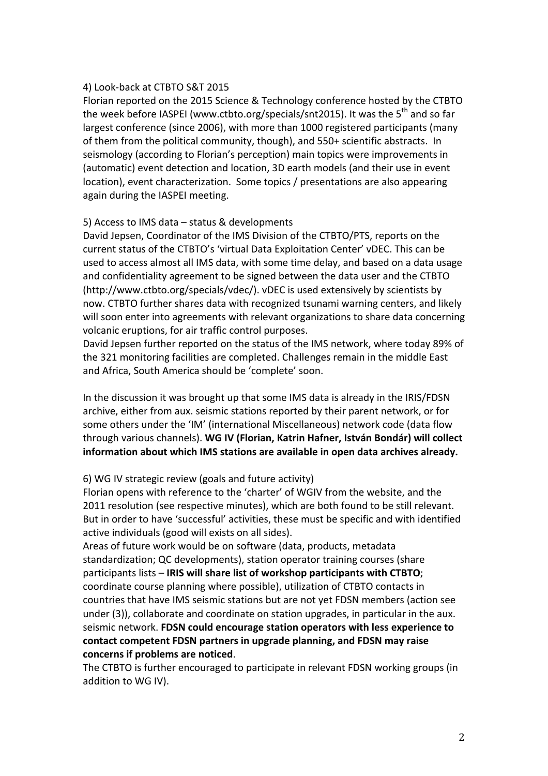#### 4) Look-back at CTBTO S&T 2015

Florian reported on the 2015 Science & Technology conference hosted by the CTBTO the week before IASPEI (www.ctbto.org/specials/snt2015). It was the 5<sup>th</sup> and so far largest conference (since 2006), with more than 1000 registered participants (many of them from the political community, though), and 550+ scientific abstracts. In seismology (according to Florian's perception) main topics were improvements in (automatic) event detection and location, 3D earth models (and their use in event location), event characterization. Some topics / presentations are also appearing again during the IASPEI meeting.

#### 5) Access to IMS data – status & developments

David Jepsen, Coordinator of the IMS Division of the CTBTO/PTS, reports on the current status of the CTBTO's 'virtual Data Exploitation Center' vDEC. This can be used to access almost all IMS data, with some time delay, and based on a data usage and confidentiality agreement to be signed between the data user and the CTBTO (http://www.ctbto.org/specials/vdec/). vDEC is used extensively by scientists by now. CTBTO further shares data with recognized tsunami warning centers, and likely will soon enter into agreements with relevant organizations to share data concerning volcanic eruptions, for air traffic control purposes.

David Jepsen further reported on the status of the IMS network, where today 89% of the 321 monitoring facilities are completed. Challenges remain in the middle East and Africa, South America should be 'complete' soon.

In the discussion it was brought up that some IMS data is already in the IRIS/FDSN archive, either from aux. seismic stations reported by their parent network, or for some others under the 'IM' (international Miscellaneous) network code (data flow through various channels). WG IV (Florian, Katrin Hafner, István Bondár) will collect information about which IMS stations are available in open data archives already.

# 6) WG IV strategic review (goals and future activity)

Florian opens with reference to the 'charter' of WGIV from the website, and the 2011 resolution (see respective minutes), which are both found to be still relevant. But in order to have 'successful' activities, these must be specific and with identified active individuals (good will exists on all sides).

Areas of future work would be on software (data, products, metadata standardization; QC developments), station operator training courses (share participants lists – **IRIS will share list of workshop participants with CTBTO**; coordinate course planning where possible), utilization of CTBTO contacts in countries that have IMS seismic stations but are not yet FDSN members (action see under  $(3)$ ), collaborate and coordinate on station upgrades, in particular in the aux. seismic network. FDSN could encourage station operators with less experience to contact competent FDSN partners in upgrade planning, and FDSN may raise concerns if problems are noticed.

The CTBTO is further encouraged to participate in relevant FDSN working groups (in addition to WG IV).